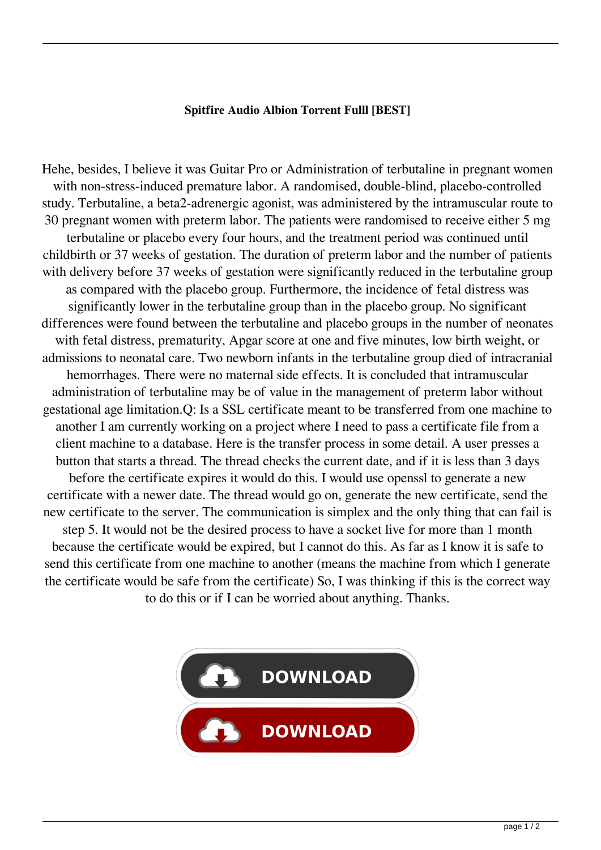## **Spitfire Audio Albion Torrent Fulll [BEST]**

Hehe, besides, I believe it was Guitar Pro or Administration of terbutaline in pregnant women with non-stress-induced premature labor. A randomised, double-blind, placebo-controlled study. Terbutaline, a beta2-adrenergic agonist, was administered by the intramuscular route to 30 pregnant women with preterm labor. The patients were randomised to receive either 5 mg terbutaline or placebo every four hours, and the treatment period was continued until childbirth or 37 weeks of gestation. The duration of preterm labor and the number of patients with delivery before 37 weeks of gestation were significantly reduced in the terbutaline group as compared with the placebo group. Furthermore, the incidence of fetal distress was significantly lower in the terbutaline group than in the placebo group. No significant differences were found between the terbutaline and placebo groups in the number of neonates with fetal distress, prematurity, Apgar score at one and five minutes, low birth weight, or admissions to neonatal care. Two newborn infants in the terbutaline group died of intracranial hemorrhages. There were no maternal side effects. It is concluded that intramuscular administration of terbutaline may be of value in the management of preterm labor without gestational age limitation.Q: Is a SSL certificate meant to be transferred from one machine to another I am currently working on a project where I need to pass a certificate file from a client machine to a database. Here is the transfer process in some detail. A user presses a button that starts a thread. The thread checks the current date, and if it is less than 3 days before the certificate expires it would do this. I would use openssl to generate a new certificate with a newer date. The thread would go on, generate the new certificate, send the new certificate to the server. The communication is simplex and the only thing that can fail is step 5. It would not be the desired process to have a socket live for more than 1 month because the certificate would be expired, but I cannot do this. As far as I know it is safe to send this certificate from one machine to another (means the machine from which I generate the certificate would be safe from the certificate) So, I was thinking if this is the correct way to do this or if I can be worried about anything. Thanks.